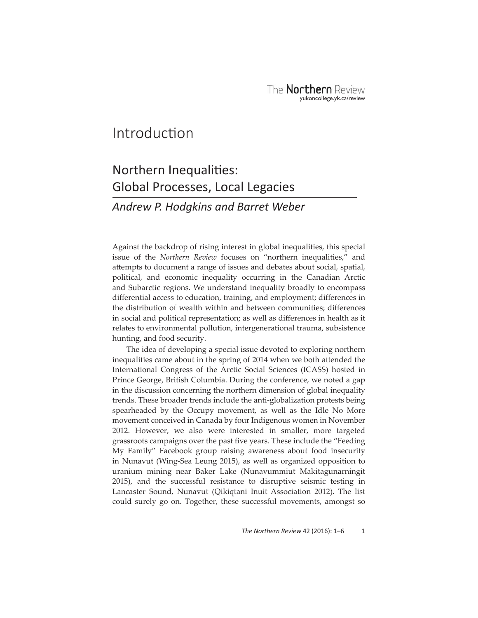## Introduction

# Northern Inequalities: Global Processes, Local Legacies

### *Andrew P. Hodgkins and Barret Weber*

Against the backdrop of rising interest in global inequalities, this special issue of the *Northern Review* focuses on "northern inequalities," and attempts to document a range of issues and debates about social, spatial, political, and economic inequality occurring in the Canadian Arctic and Subarctic regions. We understand inequality broadly to encompass differential access to education, training, and employment; differences in the distribution of wealth within and between communities; differences in social and political representation; as well as differences in health as it relates to environmental pollution, intergenerational trauma, subsistence hunting, and food security.

The idea of developing a special issue devoted to exploring northern inequalities came about in the spring of 2014 when we both attended the International Congress of the Arctic Social Sciences (ICASS) hosted in Prince George, British Columbia. During the conference, we noted a gap in the discussion concerning the northern dimension of global inequality trends. These broader trends include the anti-globalization protests being spearheaded by the Occupy movement, as well as the Idle No More movement conceived in Canada by four Indigenous women in November 2012. However, we also were interested in smaller, more targeted grassroots campaigns over the past five years. These include the "Feeding My Family" Facebook group raising awareness about food insecurity in Nunavut (Wing-Sea Leung 2015), as well as organized opposition to uranium mining near Baker Lake (Nunavummiut Makitagunarningit 2015), and the successful resistance to disruptive seismic testing in Lancaster Sound, Nunavut (Qikiqtani Inuit Association 2012). The list could surely go on. Together, these successful movements, amongst so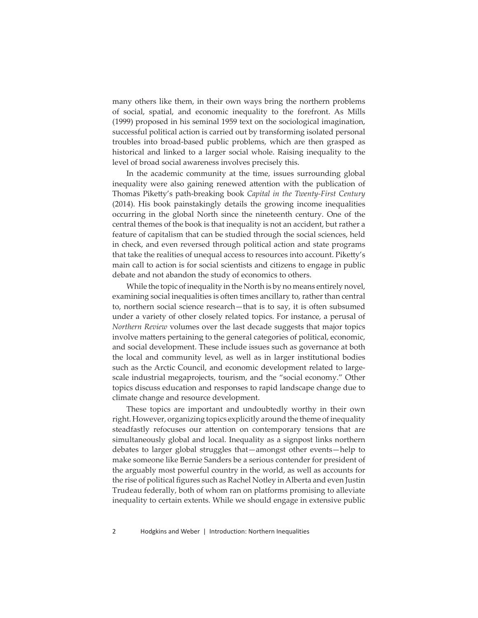many others like them, in their own ways bring the northern problems of social, spatial, and economic inequality to the forefront. As Mills (1999) proposed in his seminal 1959 text on the sociological imagination, successful political action is carried out by transforming isolated personal troubles into broad-based public problems, which are then grasped as historical and linked to a larger social whole. Raising inequality to the level of broad social awareness involves precisely this.

In the academic community at the time, issues surrounding global inequality were also gaining renewed attention with the publication of Thomas Piketty's path-breaking book *Capital in the Twenty-First Century* (2014). His book painstakingly details the growing income inequalities occurring in the global North since the nineteenth century. One of the central themes of the book is that inequality is not an accident, but rather a feature of capitalism that can be studied through the social sciences, held in check, and even reversed through political action and state programs that take the realities of unequal access to resources into account. Piketty's main call to action is for social scientists and citizens to engage in public debate and not abandon the study of economics to others.

While the topic of inequality in the North is by no means entirely novel, examining social inequalities is often times ancillary to, rather than central to, northern social science research—that is to say, it is often subsumed under a variety of other closely related topics. For instance, a perusal of *Northern Review* volumes over the last decade suggests that major topics involve matters pertaining to the general categories of political, economic, and social development. These include issues such as governance at both the local and community level, as well as in larger institutional bodies such as the Arctic Council, and economic development related to largescale industrial megaprojects, tourism, and the "social economy." Other topics discuss education and responses to rapid landscape change due to climate change and resource development.

These topics are important and undoubtedly worthy in their own right. However, organizing topics explicitly around the theme of inequality steadfastly refocuses our attention on contemporary tensions that are simultaneously global and local. Inequality as a signpost links northern debates to larger global struggles that—amongst other events—help to make someone like Bernie Sanders be a serious contender for president of the arguably most powerful country in the world, as well as accounts for the rise of political figures such as Rachel Notley in Alberta and even Justin Trudeau federally, both of whom ran on platforms promising to alleviate inequality to certain extents. While we should engage in extensive public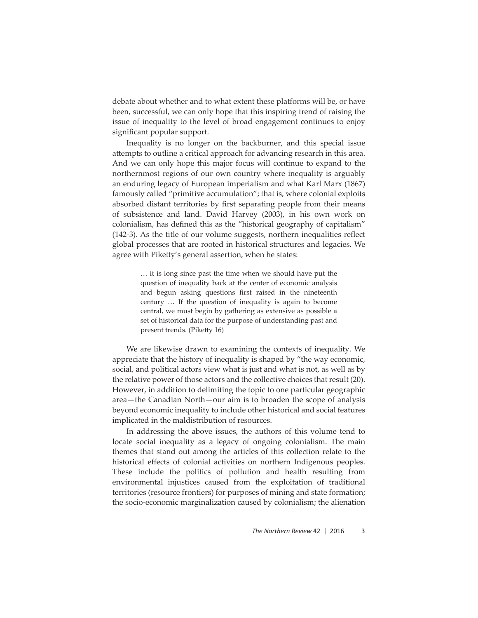debate about whether and to what extent these platforms will be, or have been, successful, we can only hope that this inspiring trend of raising the issue of inequality to the level of broad engagement continues to enjoy significant popular support.

Inequality is no longer on the backburner, and this special issue attempts to outline a critical approach for advancing research in this area. And we can only hope this major focus will continue to expand to the northernmost regions of our own country where inequality is arguably an enduring legacy of European imperialism and what Karl Marx (1867) famously called "primitive accumulation"; that is, where colonial exploits absorbed distant territories by first separating people from their means of subsistence and land. David Harvey (2003), in his own work on colonialism, has defined this as the "historical geography of capitalism"  $(142-3)$ . As the title of our volume suggests, northern inequalities reflect global processes that are rooted in historical structures and legacies. We agree with Piketty's general assertion, when he states:

> … it is long since past the time when we should have put the question of inequality back at the center of economic analysis and begun asking questions first raised in the nineteenth century … If the question of inequality is again to become central, we must begin by gathering as extensive as possible a set of historical data for the purpose of understanding past and present trends. (Piketty 16)

We are likewise drawn to examining the contexts of inequality. We appreciate that the history of inequality is shaped by "the way economic, social, and political actors view what is just and what is not, as well as by the relative power of those actors and the collective choices that result (20). However, in addition to delimiting the topic to one particular geographic area—the Canadian North—our aim is to broaden the scope of analysis beyond economic inequality to include other historical and social features implicated in the maldistribution of resources.

In addressing the above issues, the authors of this volume tend to locate social inequality as a legacy of ongoing colonialism. The main themes that stand out among the articles of this collection relate to the historical effects of colonial activities on northern Indigenous peoples. These include the politics of pollution and health resulting from environmental injustices caused from the exploitation of traditional territories (resource frontiers) for purposes of mining and state formation; the socio-economic marginalization caused by colonialism; the alienation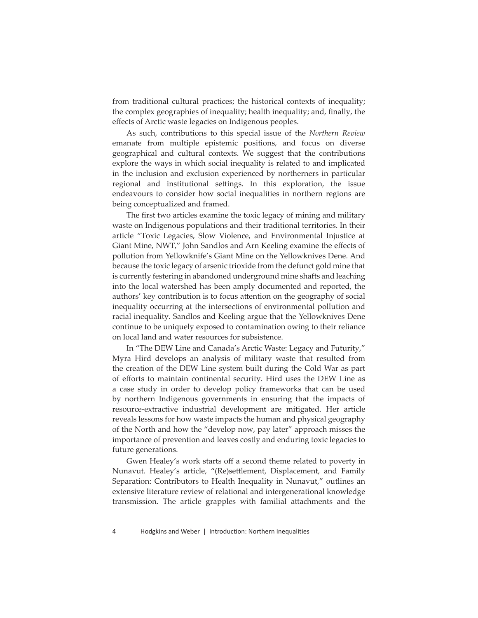from traditional cultural practices; the historical contexts of inequality; the complex geographies of inequality; health inequality; and, finally, the effects of Arctic waste legacies on Indigenous peoples.

As such, contributions to this special issue of the *Northern Review* emanate from multiple epistemic positions, and focus on diverse geographical and cultural contexts. We suggest that the contributions explore the ways in which social inequality is related to and implicated in the inclusion and exclusion experienced by northerners in particular regional and institutional settings. In this exploration, the issue endeavours to consider how social inequalities in northern regions are being conceptualized and framed.

The first two articles examine the toxic legacy of mining and military waste on Indigenous populations and their traditional territories. In their article "Toxic Legacies, Slow Violence, and Environmental Injustice at Giant Mine, NWT," John Sandlos and Arn Keeling examine the effects of pollution from Yellowknife's Giant Mine on the Yellowknives Dene. And because the toxic legacy of arsenic trioxide from the defunct gold mine that is currently festering in abandoned underground mine shafts and leaching into the local watershed has been amply documented and reported, the authors' key contribution is to focus attention on the geography of social inequality occurring at the intersections of environmental pollution and racial inequality. Sandlos and Keeling argue that the Yellowknives Dene continue to be uniquely exposed to contamination owing to their reliance on local land and water resources for subsistence.

In "The DEW Line and Canada's Arctic Waste: Legacy and Futurity," Myra Hird develops an analysis of military waste that resulted from the creation of the DEW Line system built during the Cold War as part of efforts to maintain continental security. Hird uses the DEW Line as a case study in order to develop policy frameworks that can be used by northern Indigenous governments in ensuring that the impacts of resource-extractive industrial development are mitigated. Her article reveals lessons for how waste impacts the human and physical geography of the North and how the "develop now, pay later" approach misses the importance of prevention and leaves costly and enduring toxic legacies to future generations.

Gwen Healey's work starts off a second theme related to poverty in Nunavut. Healey's article, "(Re)settlement, Displacement, and Family Separation: Contributors to Health Inequality in Nunavut," outlines an extensive literature review of relational and intergenerational knowledge transmission. The article grapples with familial attachments and the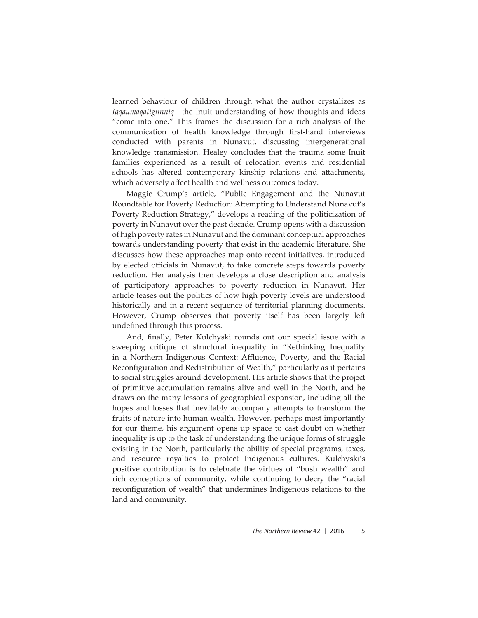learned behaviour of children through what the author crystalizes as *Iqqaumaqatigiinniq*—the Inuit understanding of how thoughts and ideas "come into one." This frames the discussion for a rich analysis of the communication of health knowledge through first-hand interviews conducted with parents in Nunavut, discussing intergenerational knowledge transmission. Healey concludes that the trauma some Inuit families experienced as a result of relocation events and residential schools has altered contemporary kinship relations and attachments, which adversely affect health and wellness outcomes today.

Maggie Crump's article, "Public Engagement and the Nunavut Roundtable for Poverty Reduction: Attempting to Understand Nunavut's Poverty Reduction Strategy," develops a reading of the politicization of poverty in Nunavut over the past decade. Crump opens with a discussion of high poverty rates in Nunavut and the dominant conceptual approaches towards understanding poverty that exist in the academic literature. She discusses how these approaches map onto recent initiatives, introduced by elected officials in Nunavut, to take concrete steps towards poverty reduction. Her analysis then develops a close description and analysis of participatory approaches to poverty reduction in Nunavut. Her article teases out the politics of how high poverty levels are understood historically and in a recent sequence of territorial planning documents. However, Crump observes that poverty itself has been largely left undefined through this process.

And, finally, Peter Kulchyski rounds out our special issue with a sweeping critique of structural inequality in "Rethinking Inequality in a Northern Indigenous Context: Affluence, Poverty, and the Racial Reconfiguration and Redistribution of Wealth," particularly as it pertains to social struggles around development. His article shows that the project of primitive accumulation remains alive and well in the North, and he draws on the many lessons of geographical expansion, including all the hopes and losses that inevitably accompany attempts to transform the fruits of nature into human wealth. However, perhaps most importantly for our theme, his argument opens up space to cast doubt on whether inequality is up to the task of understanding the unique forms of struggle existing in the North, particularly the ability of special programs, taxes, and resource royalties to protect Indigenous cultures. Kulchyski's positive contribution is to celebrate the virtues of "bush wealth" and rich conceptions of community, while continuing to decry the "racial reconfiguration of wealth" that undermines Indigenous relations to the land and community.